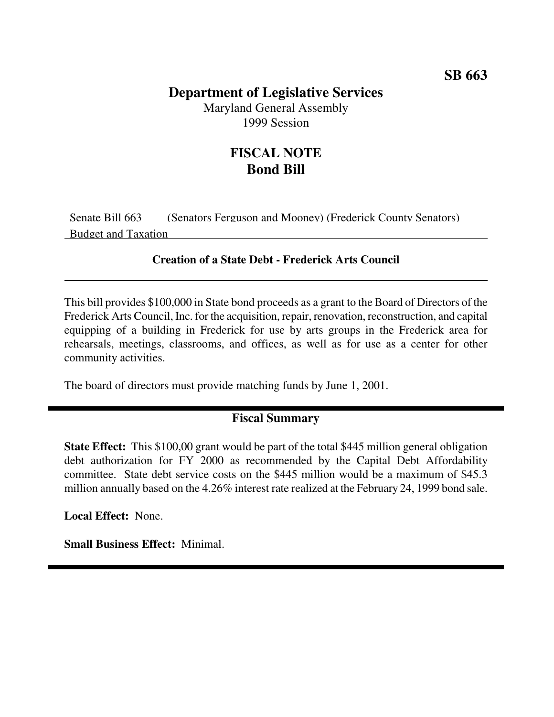# **SB 663**

### **Department of Legislative Services**

Maryland General Assembly 1999 Session

### **FISCAL NOTE Bond Bill**

Senate Bill 663 (Senators Ferguson and Mooney) (Frederick County Senators) Budget and Taxation

#### **Creation of a State Debt - Frederick Arts Council**

This bill provides \$100,000 in State bond proceeds as a grant to the Board of Directors of the Frederick Arts Council, Inc. for the acquisition, repair, renovation, reconstruction, and capital equipping of a building in Frederick for use by arts groups in the Frederick area for rehearsals, meetings, classrooms, and offices, as well as for use as a center for other community activities.

The board of directors must provide matching funds by June 1, 2001.

#### **Fiscal Summary**

**State Effect:** This \$100,00 grant would be part of the total \$445 million general obligation debt authorization for FY 2000 as recommended by the Capital Debt Affordability committee. State debt service costs on the \$445 million would be a maximum of \$45.3 million annually based on the 4.26% interest rate realized at the February 24, 1999 bond sale.

**Local Effect:** None.

**Small Business Effect:** Minimal.